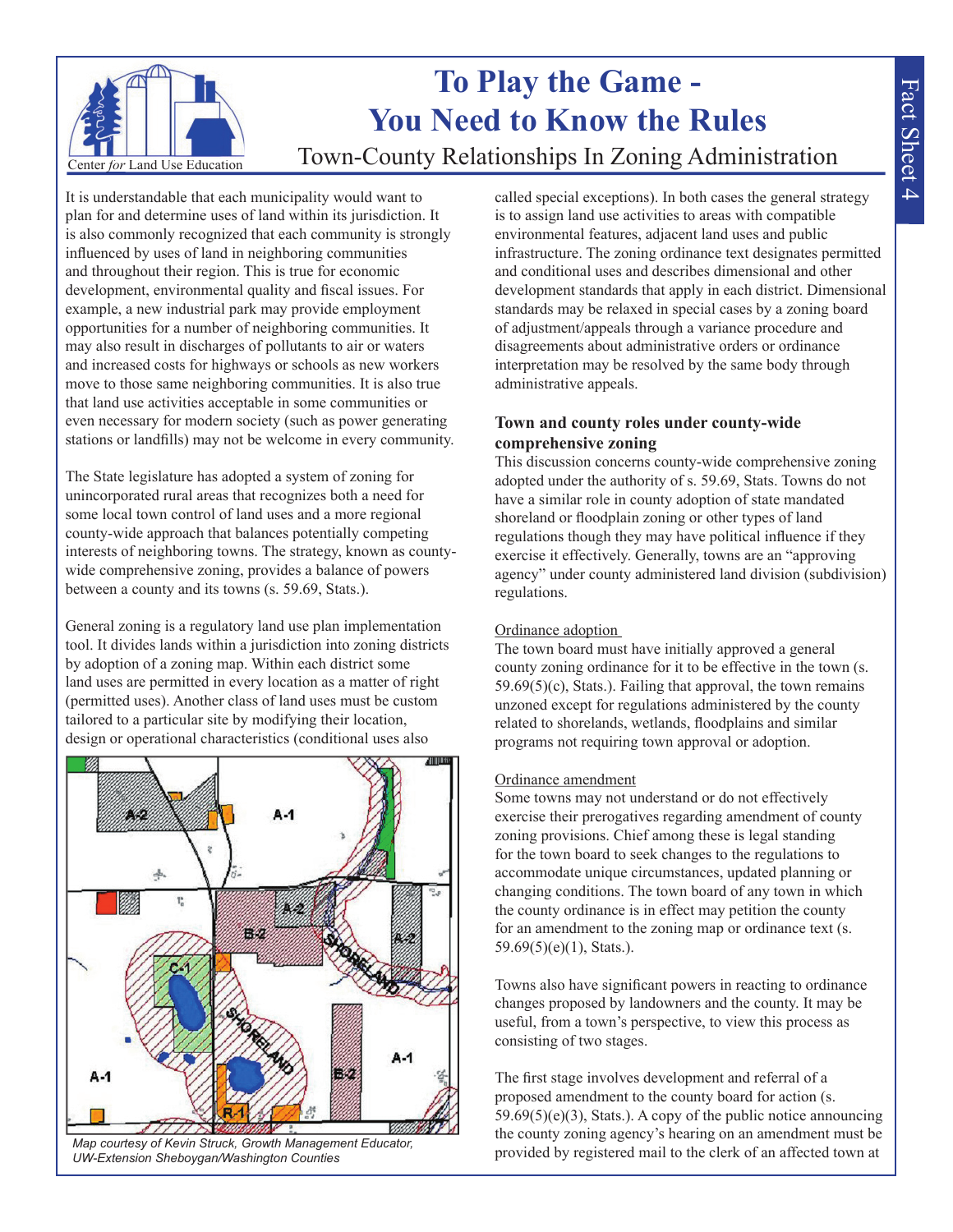

# **To Play the Game - You Need to Know the Rules** Town-County Relationships In Zoning Administration

It is understandable that each municipality would want to plan for and determine uses of land within its jurisdiction. It is also commonly recognized that each community is strongly influenced by uses of land in neighboring communities and throughout their region. This is true for economic development, environmental quality and fiscal issues. For example, a new industrial park may provide employment opportunities for a number of neighboring communities. It may also result in discharges of pollutants to air or waters and increased costs for highways or schools as new workers move to those same neighboring communities. It is also true that land use activities acceptable in some communities or even necessary for modern society (such as power generating stations or landfills) may not be welcome in every community.

The State legislature has adopted a system of zoning for unincorporated rural areas that recognizes both a need for some local town control of land uses and a more regional county-wide approach that balances potentially competing interests of neighboring towns. The strategy, known as countywide comprehensive zoning, provides a balance of powers between a county and its towns (s. 59.69, Stats.).

General zoning is a regulatory land use plan implementation tool. It divides lands within a jurisdiction into zoning districts by adoption of a zoning map. Within each district some land uses are permitted in every location as a matter of right (permitted uses). Another class of land uses must be custom tailored to a particular site by modifying their location, design or operational characteristics (conditional uses also



*Map courtesy of Kevin Struck, Growth Management Educator, UW-Extension Sheboygan/Washington Counties*

called special exceptions). In both cases the general strategy is to assign land use activities to areas with compatible environmental features, adjacent land uses and public infrastructure. The zoning ordinance text designates permitted and conditional uses and describes dimensional and other development standards that apply in each district. Dimensional standards may be relaxed in special cases by a zoning board of adjustment/appeals through a variance procedure and disagreements about administrative orders or ordinance interpretation may be resolved by the same body through administrative appeals.

## **Town and county roles under county-wide comprehensive zoning**

This discussion concerns county-wide comprehensive zoning adopted under the authority of s. 59.69, Stats. Towns do not have a similar role in county adoption of state mandated shoreland or floodplain zoning or other types of land regulations though they may have political influence if they exercise it effectively. Generally, towns are an "approving agency" under county administered land division (subdivision) regulations.

## Ordinance adoption

The town board must have initially approved a general county zoning ordinance for it to be effective in the town (s.  $59.69(5)(c)$ , Stats.). Failing that approval, the town remains unzoned except for regulations administered by the county related to shorelands, wetlands, floodplains and similar programs not requiring town approval or adoption.

## Ordinance amendment

Some towns may not understand or do not effectively exercise their prerogatives regarding amendment of county zoning provisions. Chief among these is legal standing for the town board to seek changes to the regulations to accommodate unique circumstances, updated planning or changing conditions. The town board of any town in which the county ordinance is in effect may petition the county for an amendment to the zoning map or ordinance text (s. 59.69(5)(e)(1), Stats.).

Towns also have significant powers in reacting to ordinance changes proposed by landowners and the county. It may be useful, from a town's perspective, to view this process as consisting of two stages.

The first stage involves development and referral of a proposed amendment to the county board for action (s. 59.69(5)(e)(3), Stats.). A copy of the public notice announcing the county zoning agency's hearing on an amendment must be provided by registered mail to the clerk of an affected town at